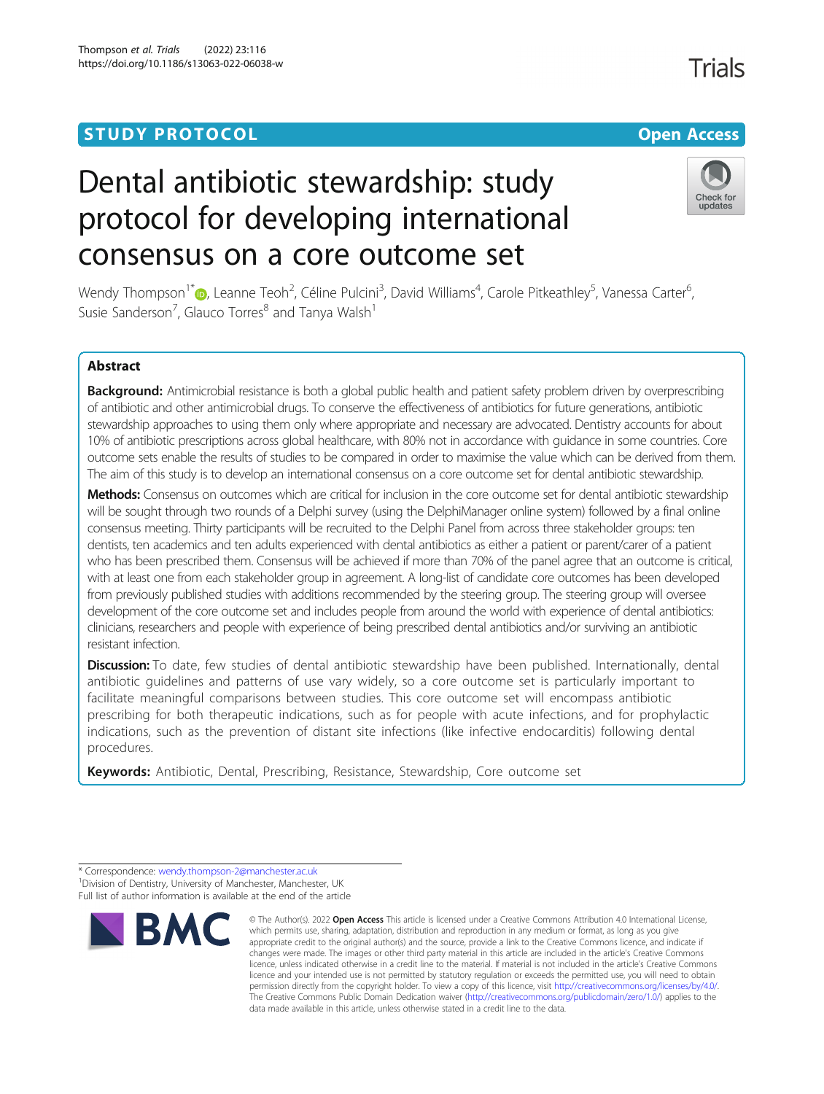# Dental antibiotic stewardship: study protocol for developing international consensus on a core outcome set

Wendy Thompson<sup>1\*</sup> (**D**[,](http://orcid.org/0000-0001-6799-4087) Leanne Teoh<sup>2</sup>, Céline Pulcini<sup>3</sup>, David Williams<sup>4</sup>, Carole Pitkeathley<sup>5</sup>, Vanessa Carter<sup>6</sup> , Susie Sanderson<sup>7</sup>, Glauco Torres<sup>8</sup> and Tanya Walsh<sup>1</sup>

# Abstract

Background: Antimicrobial resistance is both a global public health and patient safety problem driven by overprescribing of antibiotic and other antimicrobial drugs. To conserve the effectiveness of antibiotics for future generations, antibiotic stewardship approaches to using them only where appropriate and necessary are advocated. Dentistry accounts for about 10% of antibiotic prescriptions across global healthcare, with 80% not in accordance with guidance in some countries. Core outcome sets enable the results of studies to be compared in order to maximise the value which can be derived from them. The aim of this study is to develop an international consensus on a core outcome set for dental antibiotic stewardship.

Methods: Consensus on outcomes which are critical for inclusion in the core outcome set for dental antibiotic stewardship will be sought through two rounds of a Delphi survey (using the DelphiManager online system) followed by a final online consensus meeting. Thirty participants will be recruited to the Delphi Panel from across three stakeholder groups: ten dentists, ten academics and ten adults experienced with dental antibiotics as either a patient or parent/carer of a patient who has been prescribed them. Consensus will be achieved if more than 70% of the panel agree that an outcome is critical, with at least one from each stakeholder group in agreement. A long-list of candidate core outcomes has been developed from previously published studies with additions recommended by the steering group. The steering group will oversee development of the core outcome set and includes people from around the world with experience of dental antibiotics: clinicians, researchers and people with experience of being prescribed dental antibiotics and/or surviving an antibiotic resistant infection.

Discussion: To date, few studies of dental antibiotic stewardship have been published. Internationally, dental antibiotic guidelines and patterns of use vary widely, so a core outcome set is particularly important to facilitate meaningful comparisons between studies. This core outcome set will encompass antibiotic prescribing for both therapeutic indications, such as for people with acute infections, and for prophylactic indications, such as the prevention of distant site infections (like infective endocarditis) following dental procedures.

Keywords: Antibiotic, Dental, Prescribing, Resistance, Stewardship, Core outcome set

which permits use, sharing, adaptation, distribution and reproduction in any medium or format, as long as you give



Check for





<sup>©</sup> The Author(s), 2022 **Open Access** This article is licensed under a Creative Commons Attribution 4.0 International License, \* Correspondence: [wendy.thompson-2@manchester.ac.uk](mailto:wendy.thompson-2@manchester.ac.uk) <sup>1</sup> <sup>1</sup> Division of Dentistry, University of Manchester, Manchester, UK Full list of author information is available at the end of the article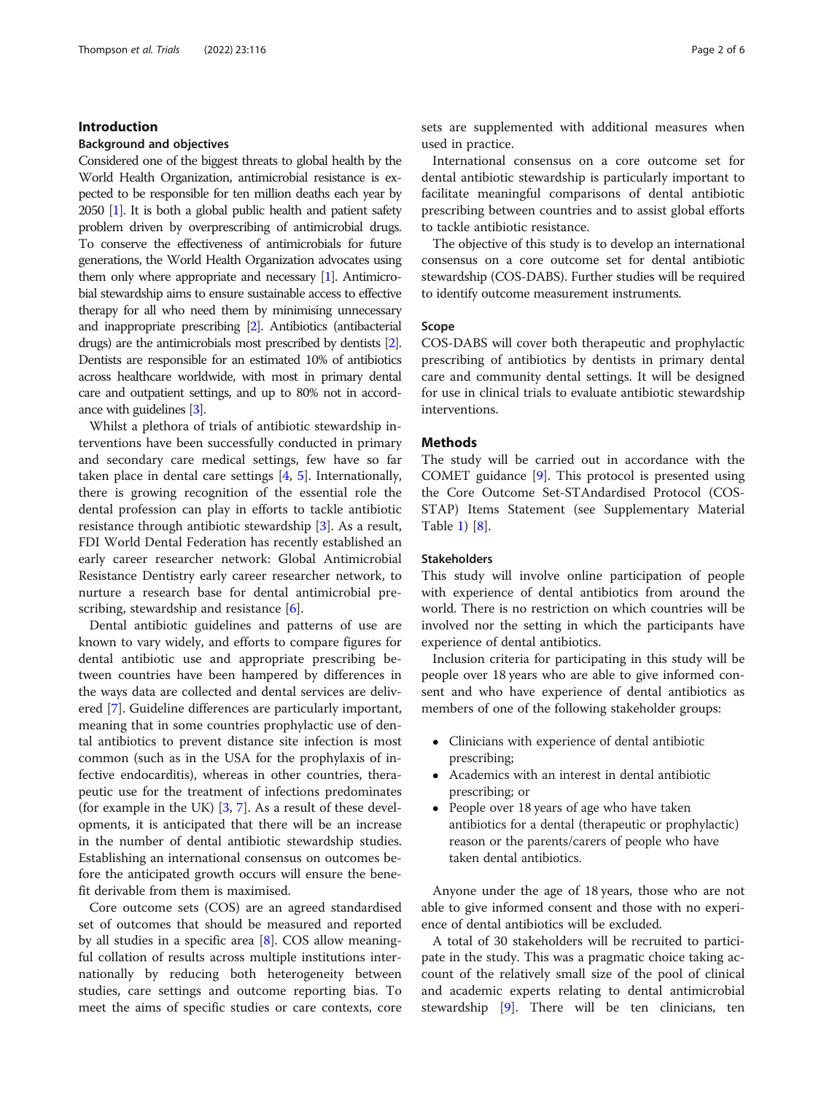# Introduction

# Background and objectives

Considered one of the biggest threats to global health by the World Health Organization, antimicrobial resistance is expected to be responsible for ten million deaths each year by 2050  $[1]$  $[1]$  $[1]$ . It is both a global public health and patient safety problem driven by overprescribing of antimicrobial drugs. To conserve the effectiveness of antimicrobials for future generations, the World Health Organization advocates using them only where appropriate and necessary [[1](#page-5-0)]. Antimicrobial stewardship aims to ensure sustainable access to effective therapy for all who need them by minimising unnecessary and inappropriate prescribing [\[2\]](#page-5-0). Antibiotics (antibacterial drugs) are the antimicrobials most prescribed by dentists [\[2\]](#page-5-0). Dentists are responsible for an estimated 10% of antibiotics across healthcare worldwide, with most in primary dental care and outpatient settings, and up to 80% not in accordance with guidelines [[3](#page-5-0)].

Whilst a plethora of trials of antibiotic stewardship interventions have been successfully conducted in primary and secondary care medical settings, few have so far taken place in dental care settings  $[4, 5]$  $[4, 5]$  $[4, 5]$ . Internationally, there is growing recognition of the essential role the dental profession can play in efforts to tackle antibiotic resistance through antibiotic stewardship [\[3](#page-5-0)]. As a result, FDI World Dental Federation has recently established an early career researcher network: Global Antimicrobial Resistance Dentistry early career researcher network, to nurture a research base for dental antimicrobial pre-scribing, stewardship and resistance [\[6](#page-5-0)].

Dental antibiotic guidelines and patterns of use are known to vary widely, and efforts to compare figures for dental antibiotic use and appropriate prescribing between countries have been hampered by differences in the ways data are collected and dental services are delivered [\[7](#page-5-0)]. Guideline differences are particularly important, meaning that in some countries prophylactic use of dental antibiotics to prevent distance site infection is most common (such as in the USA for the prophylaxis of infective endocarditis), whereas in other countries, therapeutic use for the treatment of infections predominates (for example in the UK) [\[3,](#page-5-0) [7\]](#page-5-0). As a result of these developments, it is anticipated that there will be an increase in the number of dental antibiotic stewardship studies. Establishing an international consensus on outcomes before the anticipated growth occurs will ensure the benefit derivable from them is maximised.

Core outcome sets (COS) are an agreed standardised set of outcomes that should be measured and reported by all studies in a specific area [[8](#page-5-0)]. COS allow meaningful collation of results across multiple institutions internationally by reducing both heterogeneity between studies, care settings and outcome reporting bias. To meet the aims of specific studies or care contexts, core sets are supplemented with additional measures when used in practice.

International consensus on a core outcome set for dental antibiotic stewardship is particularly important to facilitate meaningful comparisons of dental antibiotic prescribing between countries and to assist global efforts to tackle antibiotic resistance.

The objective of this study is to develop an international consensus on a core outcome set for dental antibiotic stewardship (COS-DABS). Further studies will be required to identify outcome measurement instruments.

#### Scope

COS-DABS will cover both therapeutic and prophylactic prescribing of antibiotics by dentists in primary dental care and community dental settings. It will be designed for use in clinical trials to evaluate antibiotic stewardship interventions.

# **Methods**

The study will be carried out in accordance with the COMET guidance [[9\]](#page-5-0). This protocol is presented using the Core Outcome Set-STAndardised Protocol (COS-STAP) Items Statement (see Supplementary Material Table [1\)](#page-4-0) [[8\]](#page-5-0).

# Stakeholders

This study will involve online participation of people with experience of dental antibiotics from around the world. There is no restriction on which countries will be involved nor the setting in which the participants have experience of dental antibiotics.

Inclusion criteria for participating in this study will be people over 18 years who are able to give informed consent and who have experience of dental antibiotics as members of one of the following stakeholder groups:

- Clinicians with experience of dental antibiotic prescribing;
- Academics with an interest in dental antibiotic prescribing; or
- People over 18 years of age who have taken antibiotics for a dental (therapeutic or prophylactic) reason or the parents/carers of people who have taken dental antibiotics.

Anyone under the age of 18 years, those who are not able to give informed consent and those with no experience of dental antibiotics will be excluded.

A total of 30 stakeholders will be recruited to participate in the study. This was a pragmatic choice taking account of the relatively small size of the pool of clinical and academic experts relating to dental antimicrobial stewardship [\[9](#page-5-0)]. There will be ten clinicians, ten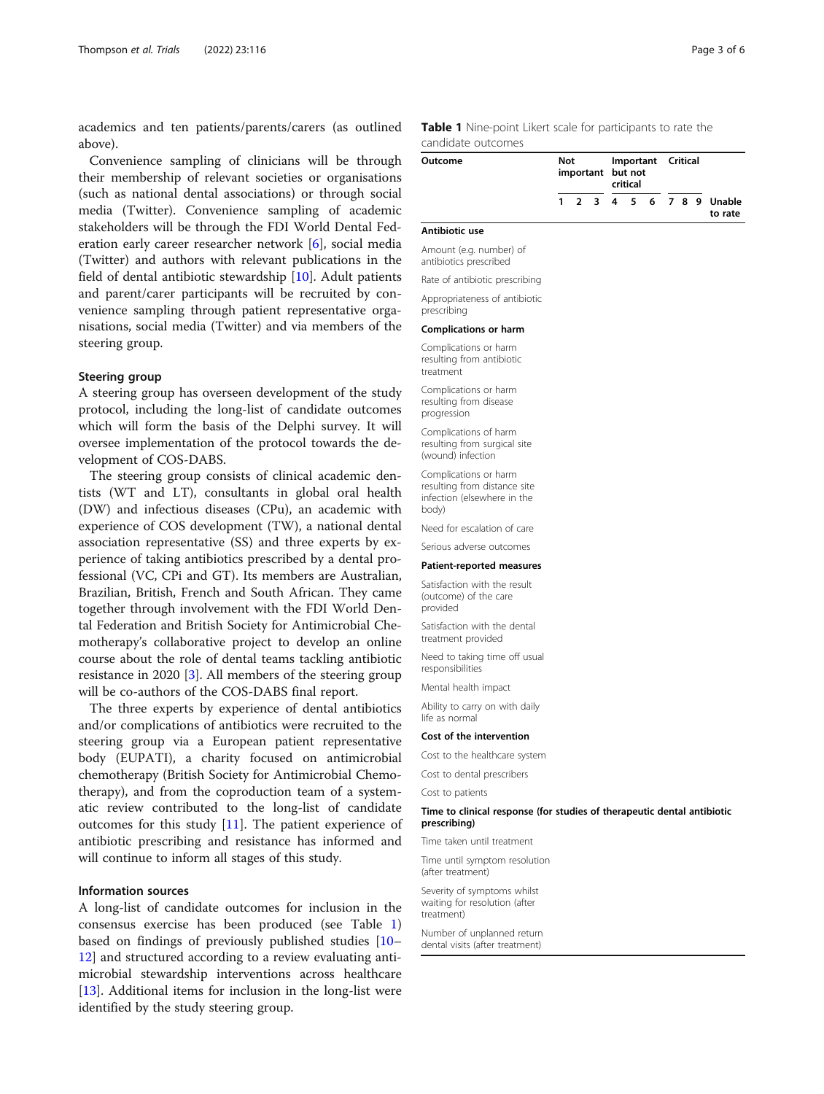<span id="page-2-0"></span>academics and ten patients/parents/carers (as outlined above).

Convenience sampling of clinicians will be through their membership of relevant societies or organisations (such as national dental associations) or through social media (Twitter). Convenience sampling of academic stakeholders will be through the FDI World Dental Federation early career researcher network [[6\]](#page-5-0), social media (Twitter) and authors with relevant publications in the field of dental antibiotic stewardship [[10](#page-5-0)]. Adult patients and parent/carer participants will be recruited by convenience sampling through patient representative organisations, social media (Twitter) and via members of the steering group.

## Steering group

A steering group has overseen development of the study protocol, including the long-list of candidate outcomes which will form the basis of the Delphi survey. It will oversee implementation of the protocol towards the development of COS-DABS.

The steering group consists of clinical academic dentists (WT and LT), consultants in global oral health (DW) and infectious diseases (CPu), an academic with experience of COS development (TW), a national dental association representative (SS) and three experts by experience of taking antibiotics prescribed by a dental professional (VC, CPi and GT). Its members are Australian, Brazilian, British, French and South African. They came together through involvement with the FDI World Dental Federation and British Society for Antimicrobial Chemotherapy's collaborative project to develop an online course about the role of dental teams tackling antibiotic resistance in 2020 [\[3](#page-5-0)]. All members of the steering group will be co-authors of the COS-DABS final report.

The three experts by experience of dental antibiotics and/or complications of antibiotics were recruited to the steering group via a European patient representative body (EUPATI), a charity focused on antimicrobial chemotherapy (British Society for Antimicrobial Chemotherapy), and from the coproduction team of a systematic review contributed to the long-list of candidate outcomes for this study [\[11](#page-5-0)]. The patient experience of antibiotic prescribing and resistance has informed and will continue to inform all stages of this study.

# Information sources

A long-list of candidate outcomes for inclusion in the consensus exercise has been produced (see Table 1) based on findings of previously published studies [[10](#page-5-0)– [12\]](#page-5-0) and structured according to a review evaluating antimicrobial stewardship interventions across healthcare [[13\]](#page-5-0). Additional items for inclusion in the long-list were identified by the study steering group.

Table 1 Nine-point Likert scale for participants to rate the candidate outcomes

| Outcome |  | Not<br>important but not |  |  | Important Critical<br>critical |  |  |  |  |                                     |
|---------|--|--------------------------|--|--|--------------------------------|--|--|--|--|-------------------------------------|
|         |  |                          |  |  |                                |  |  |  |  | 1 2 3 4 5 6 7 8 9 Unable<br>to rate |

#### Antibiotic use

Amount (e.g. number) of antibiotics prescribed

Rate of antibiotic prescribing

Appropriateness of antibiotic prescribing

#### Complications or harm

Complications or harm resulting from antibiotic treatment

Complications or harm resulting from disease progression

Complications of harm resulting from surgical site (wound) infection

Complications or harm resulting from distance site infection (elsewhere in the body)

Need for escalation of care

Serious adverse outcomes

#### Patient-reported measures

Satisfaction with the result (outcome) of the care provided

Satisfaction with the dental treatment provided

Need to taking time off usual responsibilities

Mental health impact

Ability to carry on with daily life as normal

# Cost of the intervention

Cost to the healthcare system

Cost to dental prescribers

Cost to patients

#### Time to clinical response (for studies of therapeutic dental antibiotic prescribing)

Time taken until treatment

Time until symptom resolution (after treatment)

Severity of symptoms whilst waiting for resolution (after treatment)

Number of unplanned return dental visits (after treatment)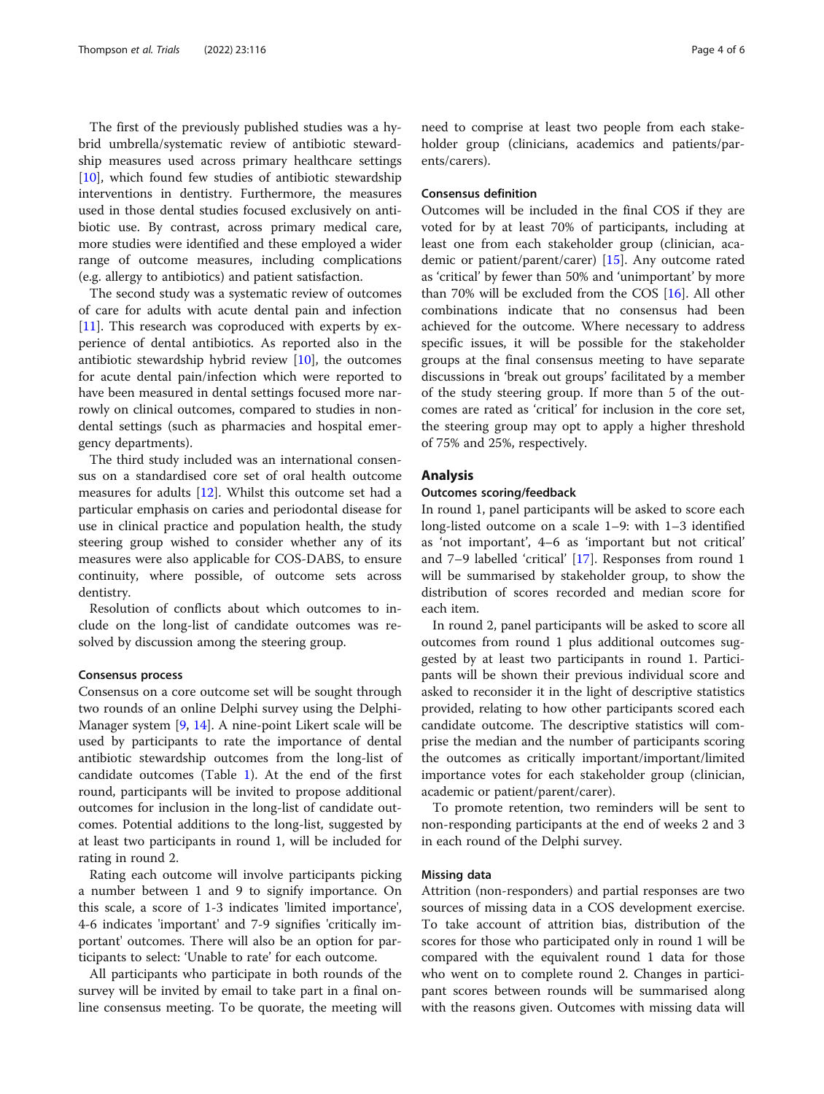The first of the previously published studies was a hybrid umbrella/systematic review of antibiotic stewardship measures used across primary healthcare settings  $[10]$  $[10]$ , which found few studies of antibiotic stewardship interventions in dentistry. Furthermore, the measures used in those dental studies focused exclusively on antibiotic use. By contrast, across primary medical care, more studies were identified and these employed a wider range of outcome measures, including complications (e.g. allergy to antibiotics) and patient satisfaction.

The second study was a systematic review of outcomes of care for adults with acute dental pain and infection [[11\]](#page-5-0). This research was coproduced with experts by experience of dental antibiotics. As reported also in the antibiotic stewardship hybrid review [\[10\]](#page-5-0), the outcomes for acute dental pain/infection which were reported to have been measured in dental settings focused more narrowly on clinical outcomes, compared to studies in nondental settings (such as pharmacies and hospital emergency departments).

The third study included was an international consensus on a standardised core set of oral health outcome measures for adults [[12\]](#page-5-0). Whilst this outcome set had a particular emphasis on caries and periodontal disease for use in clinical practice and population health, the study steering group wished to consider whether any of its measures were also applicable for COS-DABS, to ensure continuity, where possible, of outcome sets across dentistry.

Resolution of conflicts about which outcomes to include on the long-list of candidate outcomes was resolved by discussion among the steering group.

#### Consensus process

Consensus on a core outcome set will be sought through two rounds of an online Delphi survey using the Delphi-Manager system [[9,](#page-5-0) [14\]](#page-5-0). A nine-point Likert scale will be used by participants to rate the importance of dental antibiotic stewardship outcomes from the long-list of candidate outcomes (Table [1](#page-2-0)). At the end of the first round, participants will be invited to propose additional outcomes for inclusion in the long-list of candidate outcomes. Potential additions to the long-list, suggested by at least two participants in round 1, will be included for rating in round 2.

Rating each outcome will involve participants picking a number between 1 and 9 to signify importance. On this scale, a score of 1-3 indicates 'limited importance', 4-6 indicates 'important' and 7-9 signifies 'critically important' outcomes. There will also be an option for participants to select: 'Unable to rate' for each outcome.

All participants who participate in both rounds of the survey will be invited by email to take part in a final online consensus meeting. To be quorate, the meeting will need to comprise at least two people from each stakeholder group (clinicians, academics and patients/parents/carers).

# Consensus definition

Outcomes will be included in the final COS if they are voted for by at least 70% of participants, including at least one from each stakeholder group (clinician, academic or patient/parent/carer) [[15](#page-5-0)]. Any outcome rated as 'critical' by fewer than 50% and 'unimportant' by more than 70% will be excluded from the COS [[16\]](#page-5-0). All other combinations indicate that no consensus had been achieved for the outcome. Where necessary to address specific issues, it will be possible for the stakeholder groups at the final consensus meeting to have separate discussions in 'break out groups' facilitated by a member of the study steering group. If more than 5 of the outcomes are rated as 'critical' for inclusion in the core set, the steering group may opt to apply a higher threshold of 75% and 25%, respectively.

## Analysis

# Outcomes scoring/feedback

In round 1, panel participants will be asked to score each long-listed outcome on a scale 1–9: with 1–3 identified as 'not important', 4–6 as 'important but not critical' and 7–9 labelled 'critical' [[17\]](#page-5-0). Responses from round 1 will be summarised by stakeholder group, to show the distribution of scores recorded and median score for each item.

In round 2, panel participants will be asked to score all outcomes from round 1 plus additional outcomes suggested by at least two participants in round 1. Participants will be shown their previous individual score and asked to reconsider it in the light of descriptive statistics provided, relating to how other participants scored each candidate outcome. The descriptive statistics will comprise the median and the number of participants scoring the outcomes as critically important/important/limited importance votes for each stakeholder group (clinician, academic or patient/parent/carer).

To promote retention, two reminders will be sent to non-responding participants at the end of weeks 2 and 3 in each round of the Delphi survey.

# Missing data

Attrition (non-responders) and partial responses are two sources of missing data in a COS development exercise. To take account of attrition bias, distribution of the scores for those who participated only in round 1 will be compared with the equivalent round 1 data for those who went on to complete round 2. Changes in participant scores between rounds will be summarised along with the reasons given. Outcomes with missing data will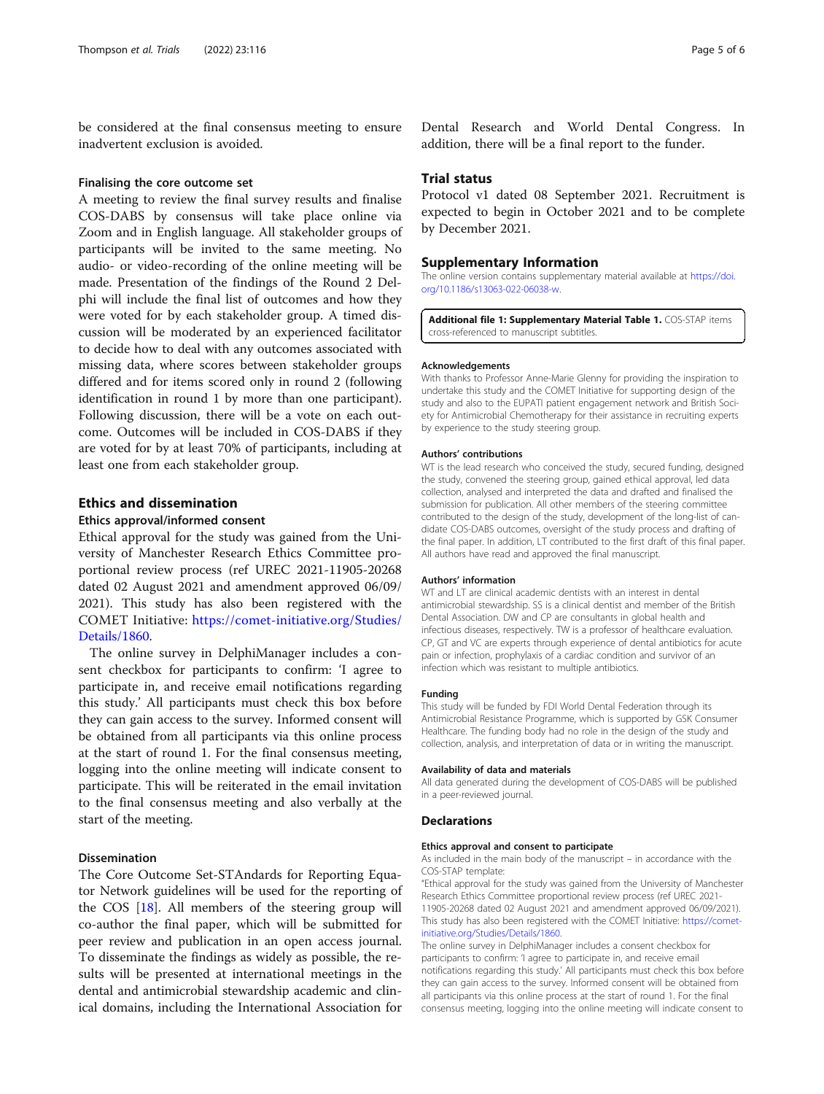<span id="page-4-0"></span>be considered at the final consensus meeting to ensure inadvertent exclusion is avoided.

#### Finalising the core outcome set

A meeting to review the final survey results and finalise COS-DABS by consensus will take place online via Zoom and in English language. All stakeholder groups of participants will be invited to the same meeting. No audio- or video-recording of the online meeting will be made. Presentation of the findings of the Round 2 Delphi will include the final list of outcomes and how they were voted for by each stakeholder group. A timed discussion will be moderated by an experienced facilitator to decide how to deal with any outcomes associated with missing data, where scores between stakeholder groups differed and for items scored only in round 2 (following identification in round 1 by more than one participant). Following discussion, there will be a vote on each outcome. Outcomes will be included in COS-DABS if they are voted for by at least 70% of participants, including at least one from each stakeholder group.

# Ethics and dissemination

#### Ethics approval/informed consent

Ethical approval for the study was gained from the University of Manchester Research Ethics Committee proportional review process (ref UREC 2021-11905-20268 dated 02 August 2021 and amendment approved 06/09/ 2021). This study has also been registered with the COMET Initiative: [https://comet-initiative.org/Studies/](https://comet-initiative.org/Studies/Details/1860) [Details/1860.](https://comet-initiative.org/Studies/Details/1860)

The online survey in DelphiManager includes a consent checkbox for participants to confirm: 'I agree to participate in, and receive email notifications regarding this study.' All participants must check this box before they can gain access to the survey. Informed consent will be obtained from all participants via this online process at the start of round 1. For the final consensus meeting, logging into the online meeting will indicate consent to participate. This will be reiterated in the email invitation to the final consensus meeting and also verbally at the start of the meeting.

# Dissemination

The Core Outcome Set-STAndards for Reporting Equator Network guidelines will be used for the reporting of the COS [\[18](#page-5-0)]. All members of the steering group will co-author the final paper, which will be submitted for peer review and publication in an open access journal. To disseminate the findings as widely as possible, the results will be presented at international meetings in the dental and antimicrobial stewardship academic and clinical domains, including the International Association for

Dental Research and World Dental Congress. In addition, there will be a final report to the funder.

# Trial status

Protocol v1 dated 08 September 2021. Recruitment is expected to begin in October 2021 and to be complete by December 2021.

# Supplementary Information

The online version contains supplementary material available at [https://doi.](https://doi.org/10.1186/s13063-022-06038-w) [org/10.1186/s13063-022-06038-w](https://doi.org/10.1186/s13063-022-06038-w).

Additional file 1: Supplementary Material Table 1. COS-STAP items cross-referenced to manuscript subtitles.

#### Acknowledgements

With thanks to Professor Anne-Marie Glenny for providing the inspiration to undertake this study and the COMET Initiative for supporting design of the study and also to the EUPATI patient engagement network and British Society for Antimicrobial Chemotherapy for their assistance in recruiting experts by experience to the study steering group.

#### Authors' contributions

WT is the lead research who conceived the study, secured funding, designed the study, convened the steering group, gained ethical approval, led data collection, analysed and interpreted the data and drafted and finalised the submission for publication. All other members of the steering committee contributed to the design of the study, development of the long-list of candidate COS-DABS outcomes, oversight of the study process and drafting of the final paper. In addition, LT contributed to the first draft of this final paper. All authors have read and approved the final manuscript.

#### Authors' information

WT and LT are clinical academic dentists with an interest in dental antimicrobial stewardship. SS is a clinical dentist and member of the British Dental Association. DW and CP are consultants in global health and infectious diseases, respectively. TW is a professor of healthcare evaluation. CP, GT and VC are experts through experience of dental antibiotics for acute pain or infection, prophylaxis of a cardiac condition and survivor of an infection which was resistant to multiple antibiotics.

#### Funding

This study will be funded by FDI World Dental Federation through its Antimicrobial Resistance Programme, which is supported by GSK Consumer Healthcare. The funding body had no role in the design of the study and collection, analysis, and interpretation of data or in writing the manuscript.

#### Availability of data and materials

All data generated during the development of COS-DABS will be published in a peer-reviewed journal.

# Declarations

#### Ethics approval and consent to participate

As included in the main body of the manuscript – in accordance with the COS-STAP template:

"Ethical approval for the study was gained from the University of Manchester Research Ethics Committee proportional review process (ref UREC 2021- 11905-20268 dated 02 August 2021 and amendment approved 06/09/2021). This study has also been registered with the COMET Initiative: [https://comet](https://comet-initiative.org/Studies/Details/1860)[initiative.org/Studies/Details/1860.](https://comet-initiative.org/Studies/Details/1860)

The online survey in DelphiManager includes a consent checkbox for participants to confirm: 'I agree to participate in, and receive email notifications regarding this study.' All participants must check this box before they can gain access to the survey. Informed consent will be obtained from all participants via this online process at the start of round 1. For the final consensus meeting, logging into the online meeting will indicate consent to